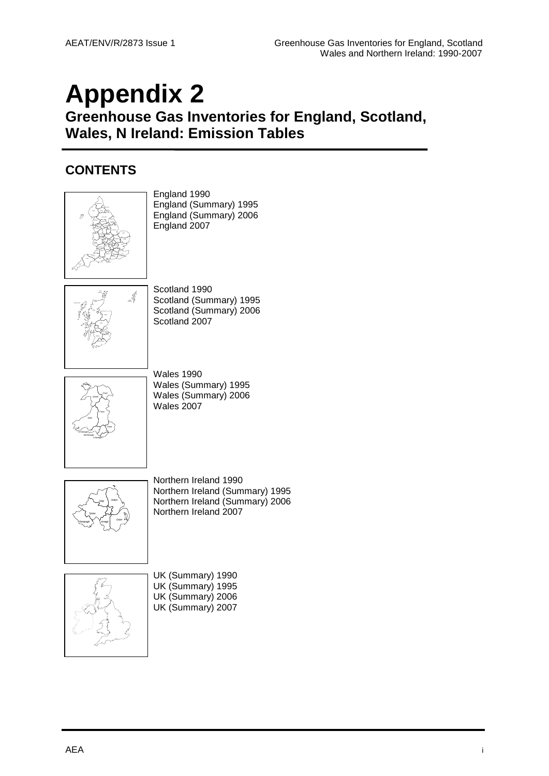# **Appendix 2**

**Greenhouse Gas Inventories for England, Scotland, Wales, N Ireland: Emission Tables**

#### **CONTENTS**

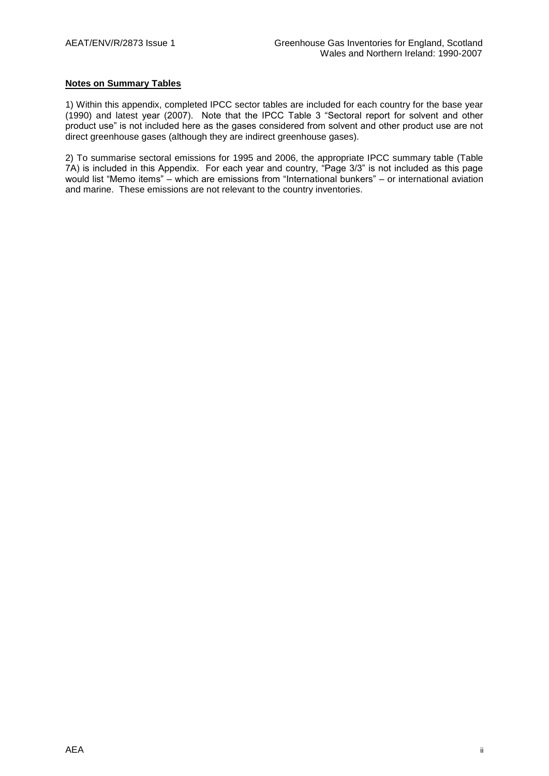#### **Notes on Summary Tables**

1) Within this appendix, completed IPCC sector tables are included for each country for the base year (1990) and latest year (2007). Note that the IPCC Table 3 "Sectoral report for solvent and other product use" is not included here as the gases considered from solvent and other product use are not direct greenhouse gases (although they are indirect greenhouse gases).

2) To summarise sectoral emissions for 1995 and 2006, the appropriate IPCC summary table (Table 7A) is included in this Appendix. For each year and country, "Page 3/3" is not included as this page would list "Memo items" – which are emissions from "International bunkers" – or international aviation and marine. These emissions are not relevant to the country inventories.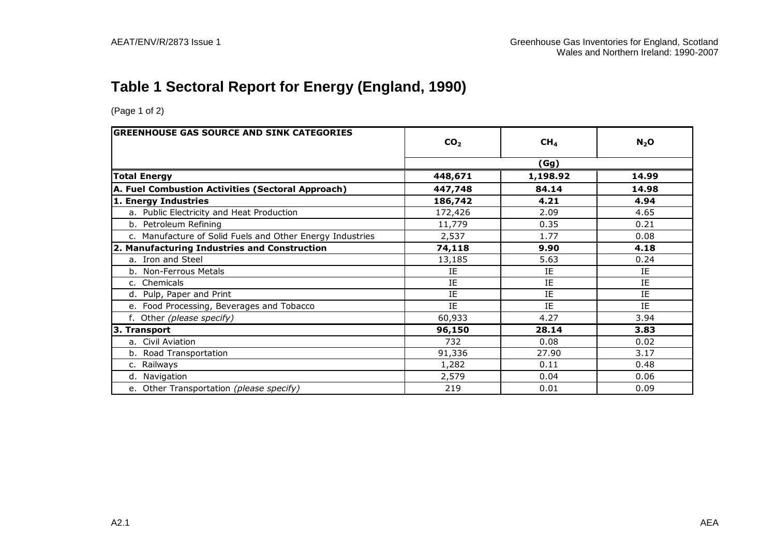## **Table 1 Sectoral Report for Energy (England, 1990)**

| <b>GREENHOUSE GAS SOURCE AND SINK CATEGORIES</b>          | CO <sub>2</sub> | CH <sub>4</sub> | $N_2$ O |
|-----------------------------------------------------------|-----------------|-----------------|---------|
|                                                           |                 | (Gg)            |         |
| <b>Total Energy</b>                                       | 448,671         | 1,198.92        | 14.99   |
| A. Fuel Combustion Activities (Sectoral Approach)         | 447,748         | 84.14           | 14.98   |
| 1. Energy Industries                                      | 186,742         | 4.21            | 4.94    |
| a. Public Electricity and Heat Production                 | 172,426         | 2.09            | 4.65    |
| b. Petroleum Refining                                     | 11,779          | 0.35            | 0.21    |
| c. Manufacture of Solid Fuels and Other Energy Industries | 2,537           | 1.77            | 0.08    |
| 2. Manufacturing Industries and Construction              | 74,118          | 9.90            | 4.18    |
| a. Iron and Steel                                         | 13,185          | 5.63            | 0.24    |
| b. Non-Ferrous Metals                                     | IE              | IE              | IE      |
| c. Chemicals                                              | ΙE              | IE              | ΙE      |
| d. Pulp, Paper and Print                                  | IE              | IE              | IE      |
| e. Food Processing, Beverages and Tobacco                 | IE              | ΙE              | IE      |
| f. Other (please specify)                                 | 60,933          | 4.27            | 3.94    |
| 3. Transport                                              | 96,150          | 28.14           | 3.83    |
| a. Civil Aviation                                         | 732             | 0.08            | 0.02    |
| b. Road Transportation                                    | 91,336          | 27.90           | 3.17    |
| c. Railways                                               | 1,282           | 0.11            | 0.48    |
| d. Navigation                                             | 2,579           | 0.04            | 0.06    |
| e. Other Transportation (please specify)                  | 219             | 0.01            | 0.09    |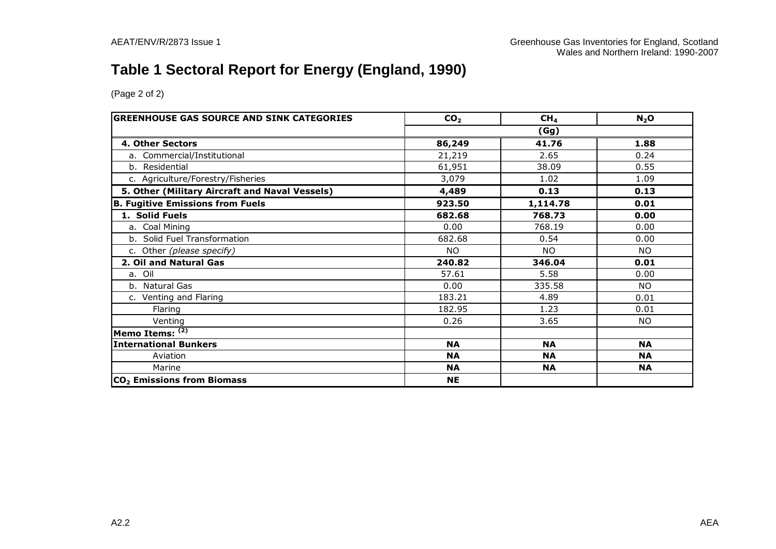## **Table 1 Sectoral Report for Energy (England, 1990)**

| <b>GREENHOUSE GAS SOURCE AND SINK CATEGORIES</b> | CO <sub>2</sub> | CH <sub>4</sub> | $N_2$ O   |  |  |  |
|--------------------------------------------------|-----------------|-----------------|-----------|--|--|--|
|                                                  |                 | (Gg)            |           |  |  |  |
| 4. Other Sectors                                 | 86,249          | 41.76           | 1.88      |  |  |  |
| a. Commercial/Institutional                      | 21,219          | 2.65            | 0.24      |  |  |  |
| b. Residential                                   | 61,951          | 38.09           | 0.55      |  |  |  |
| c. Agriculture/Forestry/Fisheries                | 3,079           | 1.02            | 1.09      |  |  |  |
| 5. Other (Military Aircraft and Naval Vessels)   | 4,489           | 0.13            | 0.13      |  |  |  |
| <b>B. Fugitive Emissions from Fuels</b>          | 923.50          | 1,114.78        | 0.01      |  |  |  |
| 1. Solid Fuels                                   | 682.68          | 768.73          | 0.00      |  |  |  |
| a. Coal Mining                                   | 0.00            | 768.19          | 0.00      |  |  |  |
| b. Solid Fuel Transformation                     | 682.68          | 0.54            | 0.00      |  |  |  |
| c. Other (please specify)                        | NO.             | NO.             | NO.       |  |  |  |
| 2. Oil and Natural Gas                           | 240.82          | 346.04          | 0.01      |  |  |  |
| a. Oil                                           | 57.61           | 5.58            | 0.00      |  |  |  |
| b. Natural Gas                                   | 0.00            | 335.58          | <b>NO</b> |  |  |  |
| c. Venting and Flaring                           | 183.21          | 4.89            | 0.01      |  |  |  |
| Flaring                                          | 182.95          | 1.23            | 0.01      |  |  |  |
| Venting                                          | 0.26            | 3.65            | <b>NO</b> |  |  |  |
| Memo Items: (2)                                  |                 |                 |           |  |  |  |
| <b>International Bunkers</b>                     | <b>NA</b>       | <b>NA</b>       | <b>NA</b> |  |  |  |
| Aviation                                         | <b>NA</b>       | <b>NA</b>       | <b>NA</b> |  |  |  |
| Marine                                           | <b>NA</b>       | <b>NA</b>       | <b>NA</b> |  |  |  |
| CO <sub>2</sub> Emissions from Biomass           | <b>NE</b>       |                 |           |  |  |  |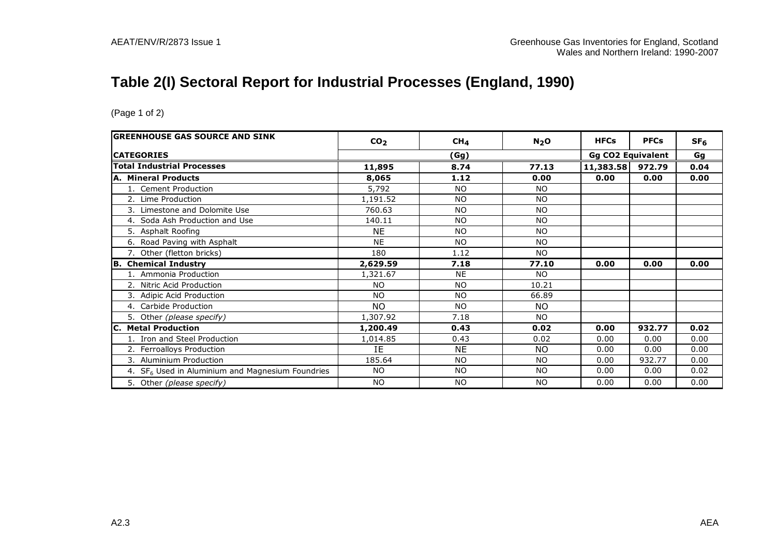## **Table 2(I) Sectoral Report for Industrial Processes (England, 1990)**

| <b>GREENHOUSE GAS SOURCE AND SINK</b>                        | CO <sub>2</sub> | CH <sub>4</sub> | N <sub>2</sub> O | <b>HFCs</b> | <b>PFCs</b>              | SF <sub>6</sub> |
|--------------------------------------------------------------|-----------------|-----------------|------------------|-------------|--------------------------|-----------------|
| <b>CATEGORIES</b>                                            |                 | (Gg)            |                  |             | <b>Gg CO2 Equivalent</b> | Gg              |
| <b>Total Industrial Processes</b>                            | 11,895          | 8.74            | 77.13            | 11,383.58   | 972.79                   | 0.04            |
| A. Mineral Products                                          | 8,065           | 1.12            | 0.00             | 0.00        | 0.00                     | 0.00            |
| 1. Cement Production                                         | 5,792           | <b>NO</b>       | NO.              |             |                          |                 |
| 2. Lime Production                                           | 1,191.52        | <b>NO</b>       | <b>NO</b>        |             |                          |                 |
| 3. Limestone and Dolomite Use                                | 760.63          | <b>NO</b>       | <b>NO</b>        |             |                          |                 |
| 4. Soda Ash Production and Use                               | 140.11          | <b>NO</b>       | <b>NO</b>        |             |                          |                 |
| 5. Asphalt Roofing                                           | <b>NE</b>       | <b>NO</b>       | <b>NO</b>        |             |                          |                 |
| 6. Road Paving with Asphalt                                  | <b>NE</b>       | <b>NO</b>       | <b>NO</b>        |             |                          |                 |
| 7. Other (fletton bricks)                                    | 180             | 1.12            | <b>NO</b>        |             |                          |                 |
| <b>B. Chemical Industry</b>                                  | 2,629.59        | 7.18            | 77.10            | 0.00        | 0.00                     | 0.00            |
| 1. Ammonia Production                                        | 1,321.67        | <b>NE</b>       | NO.              |             |                          |                 |
| 2. Nitric Acid Production                                    | <b>NO</b>       | NO.             | 10.21            |             |                          |                 |
| 3. Adipic Acid Production                                    | <b>NO</b>       | <b>NO</b>       | 66.89            |             |                          |                 |
| 4. Carbide Production                                        | NO.             | <b>NO</b>       | <b>NO</b>        |             |                          |                 |
| 5. Other (please specify)                                    | 1,307.92        | 7.18            | <b>NO</b>        |             |                          |                 |
| <b>C. Metal Production</b>                                   | 1,200.49        | 0.43            | 0.02             | 0.00        | 932.77                   | 0.02            |
| 1. Iron and Steel Production                                 | 1,014.85        | 0.43            | 0.02             | 0.00        | 0.00                     | 0.00            |
| 2. Ferroalloys Production                                    | <b>IF</b>       | <b>NE</b>       | <b>NO</b>        | 0.00        | 0.00                     | 0.00            |
| 3. Aluminium Production                                      | 185.64          | <b>NO</b>       | <b>NO</b>        | 0.00        | 932.77                   | 0.00            |
| 4. SF <sub>6</sub> Used in Aluminium and Magnesium Foundries | <b>NO</b>       | <b>NO</b>       | <b>NO</b>        | 0.00        | 0.00                     | 0.02            |
| 5. Other (please specify)                                    | <b>NO</b>       | <b>NO</b>       | <b>NO</b>        | 0.00        | 0.00                     | 0.00            |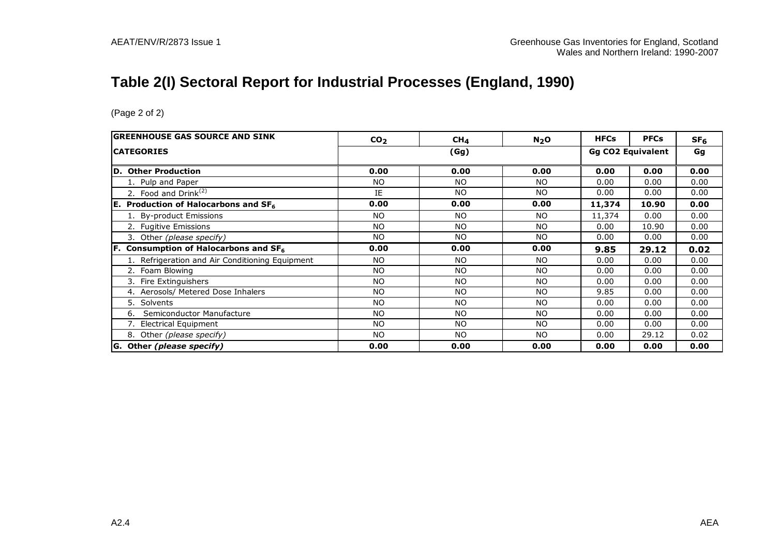## **Table 2(I) Sectoral Report for Industrial Processes (England, 1990)**

| IGREENHOUSE GAS SOURCE AND SINK                      | CO <sub>2</sub> | CH <sub>4</sub> | N <sub>2</sub> O | <b>HFCs</b>              | <b>PFCs</b> | SF <sub>6</sub> |
|------------------------------------------------------|-----------------|-----------------|------------------|--------------------------|-------------|-----------------|
| <b>CATEGORIES</b>                                    | (Gg)            |                 |                  | <b>Gg CO2 Equivalent</b> | Gg          |                 |
| D. Other Production                                  | 0.00            | 0.00            | 0.00             | 0.00                     | 0.00        | 0.00            |
| 1. Pulp and Paper                                    | <b>NO</b>       | NO              | NO               | 0.00                     | 0.00        | 0.00            |
| 2. Food and Drink $(2)$                              | IE              | NO.             | NO               | 0.00                     | 0.00        | 0.00            |
| E. Production of Halocarbons and SF <sub>6</sub>     | 0.00            | 0.00            | 0.00             | 11,374                   | 10.90       | 0.00            |
| 1. By-product Emissions                              | <b>NO</b>       | <b>NO</b>       | <b>NO</b>        | 11,374                   | 0.00        | 0.00            |
| 2. Fugitive Emissions                                | <b>NO</b>       | NO              | NO               | 0.00                     | 10.90       | 0.00            |
| 3. Other (please specify)                            | NO.             | <b>NO</b>       | <b>NO</b>        | 0.00                     | 0.00        | 0.00            |
| $ F.$ Consumption of Halocarbons and SF <sub>6</sub> | 0.00            | 0.00            | 0.00             | 9.85                     | 29.12       | 0.02            |
| 1. Refrigeration and Air Conditioning Equipment      | <b>NO</b>       | <b>NO</b>       | <b>NO</b>        | 0.00                     | 0.00        | 0.00            |
| 2. Foam Blowing                                      | <b>NO</b>       | <b>NO</b>       | <b>NO</b>        | 0.00                     | 0.00        | 0.00            |
| 3. Fire Extinguishers                                | <b>NO</b>       | <b>NO</b>       | <b>NO</b>        | 0.00                     | 0.00        | 0.00            |
| 4. Aerosols/ Metered Dose Inhalers                   | <b>NO</b>       | NO              | <b>NO</b>        | 9.85                     | 0.00        | 0.00            |
| 5. Solvents                                          | <b>NO</b>       | NO.             | NO               | 0.00                     | 0.00        | 0.00            |
| Semiconductor Manufacture<br>6.                      | <b>NO</b>       | NO              | <b>NO</b>        | 0.00                     | 0.00        | 0.00            |
| 7. Electrical Equipment                              | <b>NO</b>       | <b>NO</b>       | NO               | 0.00                     | 0.00        | 0.00            |
| 8. Other (please specify)                            | <b>NO</b>       | NO              | NO               | 0.00                     | 29.12       | 0.02            |
| G. Other (please specify)                            | 0.00            | 0.00            | 0.00             | 0.00                     | 0.00        | 0.00            |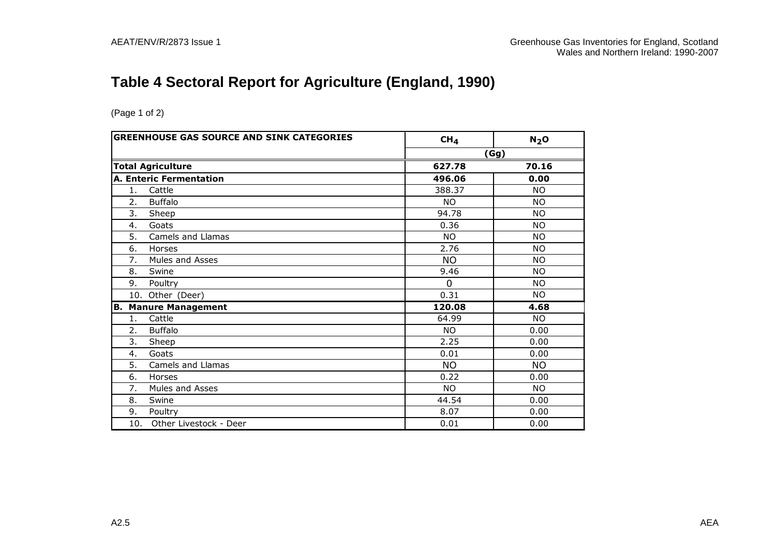## **Table 4 Sectoral Report for Agriculture (England, 1990)**

| <b>GREENHOUSE GAS SOURCE AND SINK CATEGORIES</b> | CH <sub>4</sub> | N <sub>2</sub> O |
|--------------------------------------------------|-----------------|------------------|
|                                                  |                 | (Gg)             |
| <b>Total Agriculture</b>                         | 627.78          | 70.16            |
| <b>A. Enteric Fermentation</b>                   | 496.06          | 0.00             |
| Cattle<br>1.                                     | 388.37          | NO.              |
| 2.<br><b>Buffalo</b>                             | NO.             | <b>NO</b>        |
| 3.<br>Sheep                                      | 94.78           | NO.              |
| Goats<br>4.                                      | 0.36            | <b>NO</b>        |
| 5.<br>Camels and Llamas                          | NO.             | NO.              |
| 6.<br>Horses                                     | 2.76            | <b>NO</b>        |
| 7.<br>Mules and Asses                            | <b>NO</b>       | NO.              |
| 8.<br>Swine                                      | 9.46            | <b>NO</b>        |
| 9.<br>Poultry                                    | $\Omega$        | <b>NO</b>        |
| 10. Other (Deer)                                 | 0.31            | <b>NO</b>        |
| <b>Manure Management</b><br>В.                   | 120.08          | 4.68             |
| Cattle<br>1.                                     | 64.99           | <b>NO</b>        |
| 2.<br><b>Buffalo</b>                             | NO.             | 0.00             |
| 3.<br>Sheep                                      | 2.25            | 0.00             |
| 4.<br>Goats                                      | 0.01            | 0.00             |
| 5.<br>Camels and Llamas                          | <b>NO</b>       | <b>NO</b>        |
| 6.<br>Horses                                     | 0.22            | 0.00             |
| 7.<br>Mules and Asses                            | <b>NO</b>       | <b>NO</b>        |
| 8.<br>Swine                                      | 44.54           | 0.00             |
| 9.<br>Poultry                                    | 8.07            | 0.00             |
| Other Livestock - Deer<br>10.                    | 0.01            | 0.00             |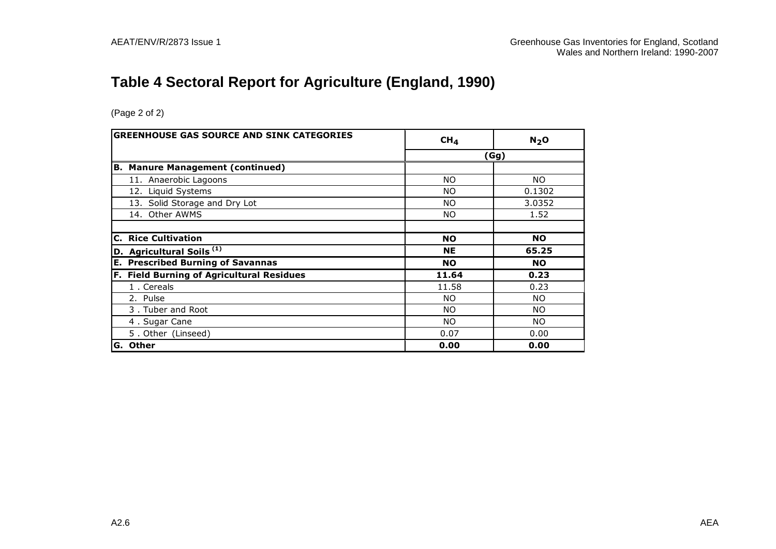## **Table 4 Sectoral Report for Agriculture (England, 1990)**

| <b>GREENHOUSE GAS SOURCE AND SINK CATEGORIES</b> | CH <sub>4</sub> | N <sub>2</sub> O |  |
|--------------------------------------------------|-----------------|------------------|--|
|                                                  | (Gg)            |                  |  |
| B.<br><b>Manure Management (continued)</b>       |                 |                  |  |
| 11. Anaerobic Lagoons                            | <b>NO</b>       | NO.              |  |
| 12. Liquid Systems                               | <b>NO</b>       | 0.1302           |  |
| 13. Solid Storage and Dry Lot                    | <b>NO</b>       | 3.0352           |  |
| 14. Other AWMS                                   | NO.             | 1.52             |  |
|                                                  |                 |                  |  |
| <b>C. Rice Cultivation</b>                       | <b>NO</b>       | <b>NO</b>        |  |
| D. Agricultural Soils <sup>(1)</sup>             | <b>NE</b>       | 65.25            |  |
| <b>E. Prescribed Burning of Savannas</b>         | <b>NO</b>       | <b>NO</b>        |  |
| <b>F. Field Burning of Agricultural Residues</b> | 11.64           | 0.23             |  |
| 1. Cereals                                       | 11.58           | 0.23             |  |
| 2. Pulse                                         | NO.             | NO.              |  |
| 3. Tuber and Root                                | NO.             | NO.              |  |
| 4. Sugar Cane                                    | NO.             | NO.              |  |
| 5. Other (Linseed)                               | 0.07            | 0.00             |  |
| lG. Other                                        | 0.00            | 0.00             |  |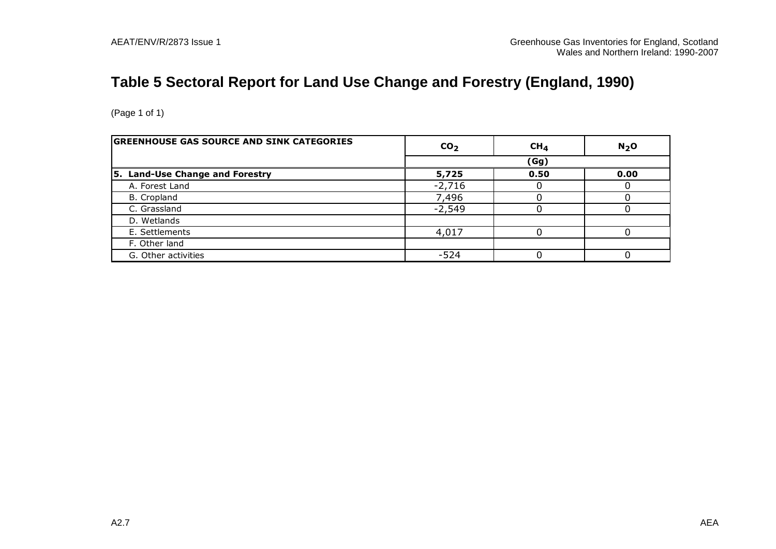## **Table 5 Sectoral Report for Land Use Change and Forestry (England, 1990)**

| (Page 1 of 1)                                    |                 |                 |                  |
|--------------------------------------------------|-----------------|-----------------|------------------|
| <b>GREENHOUSE GAS SOURCE AND SINK CATEGORIES</b> | CO <sub>2</sub> | CH <sub>4</sub> | N <sub>2</sub> O |
|                                                  |                 | (Gg)            |                  |
| 5. Land-Use Change and Forestry                  | 5,725           | 0.50            | 0.00             |
| A. Forest Land                                   | $-2,716$        |                 |                  |
| B. Cropland                                      | 7,496           |                 |                  |
| C. Grassland                                     | $-2,549$        | 0               |                  |
| D. Wetlands                                      |                 |                 |                  |
| E. Settlements                                   | 4,017           |                 |                  |
| F. Other land                                    |                 |                 |                  |
| G. Other activities                              | $-524$          | ∩               |                  |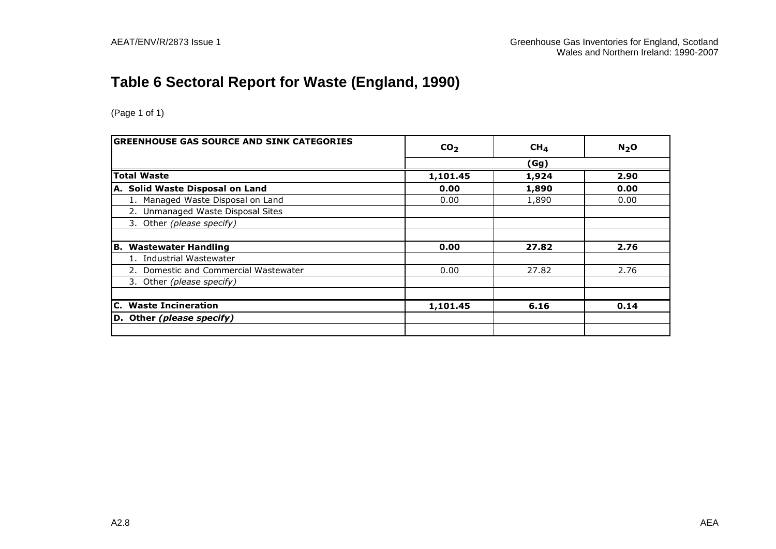## **Table 6 Sectoral Report for Waste (England, 1990)**

| <b>GREENHOUSE GAS SOURCE AND SINK CATEGORIES</b> | CO <sub>2</sub> | CH <sub>4</sub> | $N2$ O |
|--------------------------------------------------|-----------------|-----------------|--------|
|                                                  |                 | (Gg)            |        |
| <b>Total Waste</b>                               | 1,101.45        | 1,924           | 2.90   |
| A. Solid Waste Disposal on Land                  | 0.00            | 1,890           | 0.00   |
| 1. Managed Waste Disposal on Land                | 0.00            | 1,890           | 0.00   |
| 2. Unmanaged Waste Disposal Sites                |                 |                 |        |
| 3. Other (please specify)                        |                 |                 |        |
| B. Wastewater Handling                           | 0.00            | 27.82           | 2.76   |
| 1. Industrial Wastewater                         |                 |                 |        |
| 2. Domestic and Commercial Wastewater            | 0.00            | 27.82           | 2.76   |
| 3. Other (please specify)                        |                 |                 |        |
| C. Waste Incineration                            | 1,101.45        | 6.16            | 0.14   |
| D. Other (please specify)                        |                 |                 |        |
|                                                  |                 |                 |        |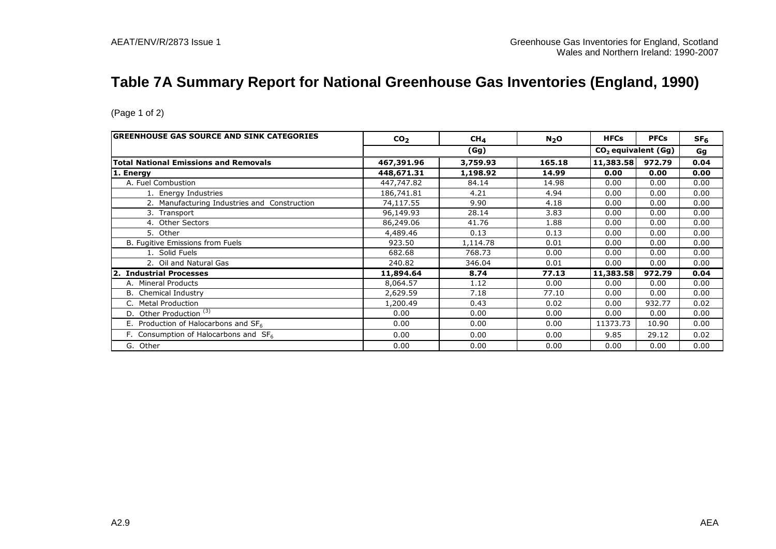## **Table 7A Summary Report for National Greenhouse Gas Inventories (England, 1990)**

| <b>GREENHOUSE GAS SOURCE AND SINK CATEGORIES</b> | CO <sub>2</sub> | CH <sub>4</sub> | $N_2$ O | <b>HFCs</b> | <b>PFCs</b> | SF <sub>6</sub> |
|--------------------------------------------------|-----------------|-----------------|---------|-------------|-------------|-----------------|
|                                                  |                 | (Gg)            |         |             |             | Gg              |
| <b>Total National Emissions and Removals</b>     | 467,391.96      | 3,759.93        | 165.18  | 11,383.58   | 972.79      | 0.04            |
| 1. Energy                                        | 448,671.31      | 1,198.92        | 14.99   | 0.00        | 0.00        | 0.00            |
| A. Fuel Combustion                               | 447,747.82      | 84.14           | 14.98   | 0.00        | 0.00        | 0.00            |
| 1. Energy Industries                             | 186,741.81      | 4.21            | 4.94    | 0.00        | 0.00        | 0.00            |
| 2. Manufacturing Industries and Construction     | 74,117.55       | 9.90            | 4.18    | 0.00        | 0.00        | 0.00            |
| 3. Transport                                     | 96,149.93       | 28.14           | 3.83    | 0.00        | 0.00        | 0.00            |
| 4. Other Sectors                                 | 86,249.06       | 41.76           | 1.88    | 0.00        | 0.00        | 0.00            |
| 5. Other                                         | 4,489.46        | 0.13            | 0.13    | 0.00        | 0.00        | 0.00            |
| B. Fugitive Emissions from Fuels                 | 923.50          | 1,114.78        | 0.01    | 0.00        | 0.00        | 0.00            |
| 1. Solid Fuels                                   | 682.68          | 768.73          | 0.00    | 0.00        | 0.00        | 0.00            |
| 2. Oil and Natural Gas                           | 240.82          | 346.04          | 0.01    | 0.00        | 0.00        | 0.00            |
| 2. Industrial Processes                          | 11,894.64       | 8.74            | 77.13   | 11,383.58   | 972.79      | 0.04            |
| A. Mineral Products                              | 8,064.57        | 1.12            | 0.00    | 0.00        | 0.00        | 0.00            |
| <b>B.</b> Chemical Industry                      | 2,629.59        | 7.18            | 77.10   | 0.00        | 0.00        | 0.00            |
| <b>Metal Production</b>                          | 1,200.49        | 0.43            | 0.02    | 0.00        | 932.77      | 0.02            |
| D. Other Production <sup>(3)</sup>               | 0.00            | 0.00            | 0.00    | 0.00        | 0.00        | 0.00            |
| E. Production of Halocarbons and $SF6$           | 0.00            | 0.00            | 0.00    | 11373.73    | 10.90       | 0.00            |
| F. Consumption of Halocarbons and $SF6$          | 0.00            | 0.00            | 0.00    | 9.85        | 29.12       | 0.02            |
| G. Other                                         | 0.00            | 0.00            | 0.00    | 0.00        | 0.00        | 0.00            |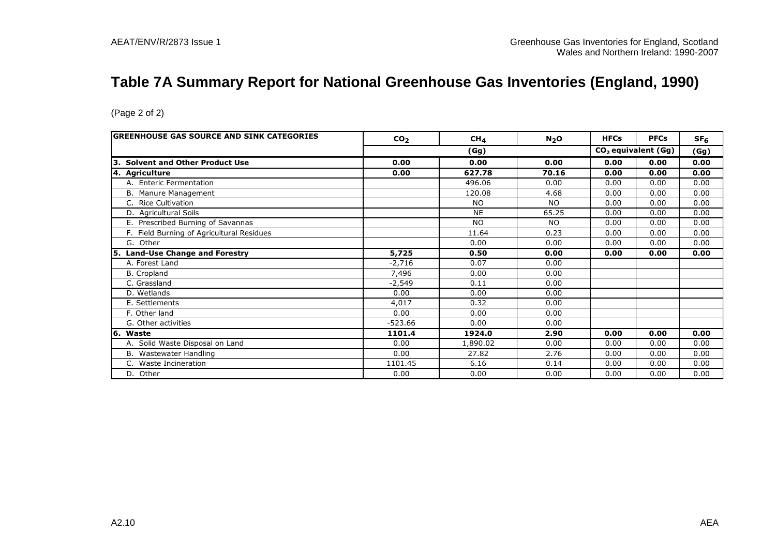## **Table 7A Summary Report for National Greenhouse Gas Inventories (England, 1990)**

|                                           |                 |                 |           |             | $\overline{\phantom{a}}$        | $\mathbf{r}$    |
|-------------------------------------------|-----------------|-----------------|-----------|-------------|---------------------------------|-----------------|
|                                           |                 |                 |           |             |                                 |                 |
| (Page 2 of 2)                             |                 |                 |           |             |                                 |                 |
|                                           |                 |                 |           |             |                                 |                 |
| GREENHOUSE GAS SOURCE AND SINK CATEGORIES | CO <sub>2</sub> | CH <sub>4</sub> | $N_2$ O   | <b>HFCs</b> | <b>PFCs</b>                     | SF <sub>6</sub> |
|                                           |                 | (Gg)            |           |             | CO <sub>2</sub> equivalent (Gg) | (Gg)            |
| 3. Solvent and Other Product Use          | 0.00            | 0.00            | 0.00      | 0.00        | 0.00                            | 0.00            |
| 4. Agriculture                            | 0.00            | 627.78          | 70.16     | 0.00        | 0.00                            | 0.00            |
| A. Enteric Fermentation                   |                 | 496.06          | 0.00      | 0.00        | 0.00                            | 0.00            |
| B. Manure Management                      |                 | 120.08          | 4.68      | 0.00        | 0.00                            | 0.00            |
| C. Rice Cultivation                       |                 | <b>NO</b>       | <b>NO</b> | 0.00        | 0.00                            | 0.00            |
| D. Agricultural Soils                     |                 | <b>NE</b>       | 65.25     | 0.00        | 0.00                            | 0.00            |
| E. Prescribed Burning of Savannas         |                 | <b>NO</b>       | <b>NO</b> | 0.00        | 0.00                            | 0.00            |
| F. Field Burning of Agricultural Residues |                 | 11.64           | 0.23      | 0.00        | 0.00                            | 0.00            |
| G. Other                                  |                 | 0.00            | 0.00      | 0.00        | 0.00                            | 0.00            |
| 5. Land-Use Change and Forestry           | 5,725           | 0.50            | 0.00      | 0.00        | 0.00                            | 0.00            |
| A. Forest Land                            | $-2,716$        | 0.07            | 0.00      |             |                                 |                 |
| <b>B.</b> Cropland                        | 7,496           | 0.00            | 0.00      |             |                                 |                 |
| C. Grassland                              | $-2,549$        | 0.11            | 0.00      |             |                                 |                 |
| D. Wetlands                               | 0.00            | 0.00            | 0.00      |             |                                 |                 |
| E. Settlements                            | 4,017           | 0.32            | 0.00      |             |                                 |                 |
| F. Other land                             | 0.00            | 0.00            | 0.00      |             |                                 |                 |
| G. Other activities                       | $-523.66$       | 0.00            | 0.00      |             |                                 |                 |
| 6. Waste                                  | 1101.4          | 1924.0          | 2.90      | 0.00        | 0.00                            | 0.00            |
| A. Solid Waste Disposal on Land           | 0.00            | 1,890.02        | 0.00      | 0.00        | 0.00                            | 0.00            |
| B. Wastewater Handling                    | 0.00            | 27.82           | 2.76      | 0.00        | 0.00                            | 0.00            |
| C. Waste Incineration                     | 1101.45         | 6.16            | 0.14      | 0.00        | 0.00                            | 0.00            |
| D. Other                                  | 0.00            | 0.00            | 0.00      | 0.00        | 0.00                            | 0.00            |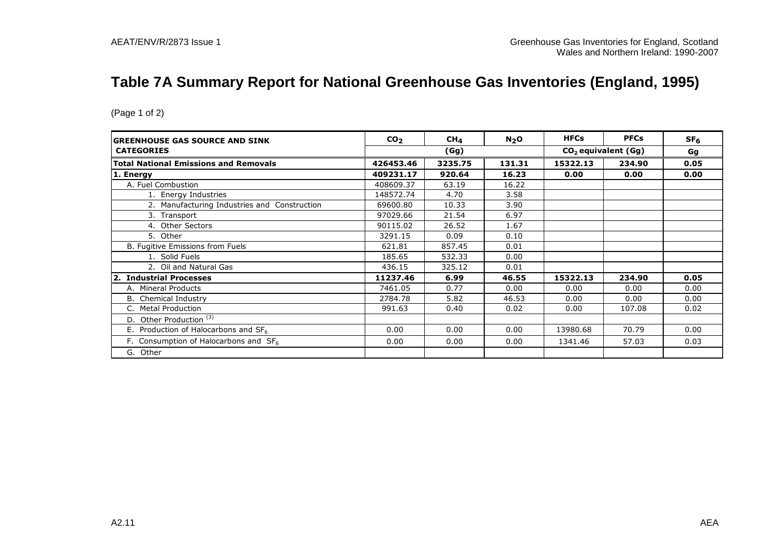## **Table 7A Summary Report for National Greenhouse Gas Inventories (England, 1995)**

| <b>IGREENHOUSE GAS SOURCE AND SINK</b>       | CO <sub>2</sub> | CH <sub>4</sub> | N <sub>2</sub> O | <b>HFCs</b> | <b>PFCs</b>           | SF <sub>6</sub> |
|----------------------------------------------|-----------------|-----------------|------------------|-------------|-----------------------|-----------------|
| <b>CATEGORIES</b>                            |                 | (Gg)            |                  |             | $CO2$ equivalent (Gg) | Gg              |
| <b>Total National Emissions and Removals</b> | 426453.46       | 3235.75         | 131.31           | 15322.13    | 234.90                | 0.05            |
| 1. Energy                                    | 409231.17       | 920.64          | 16.23            | 0.00        | 0.00                  | 0.00            |
| A. Fuel Combustion                           | 408609.37       | 63.19           | 16.22            |             |                       |                 |
| 1. Energy Industries                         | 148572.74       | 4.70            | 3.58             |             |                       |                 |
| 2. Manufacturing Industries and Construction | 69600.80        | 10.33           | 3.90             |             |                       |                 |
| 3. Transport                                 | 97029.66        | 21.54           | 6.97             |             |                       |                 |
| 4. Other Sectors                             | 90115.02        | 26.52           | 1.67             |             |                       |                 |
| 5. Other                                     | 3291.15         | 0.09            | 0.10             |             |                       |                 |
| B. Fugitive Emissions from Fuels             | 621.81          | 857.45          | 0.01             |             |                       |                 |
| 1. Solid Fuels                               | 185.65          | 532.33          | 0.00             |             |                       |                 |
| 2. Oil and Natural Gas                       | 436.15          | 325.12          | 0.01             |             |                       |                 |
| <b>Industrial Processes</b><br>2.            | 11237.46        | 6.99            | 46.55            | 15322.13    | 234.90                | 0.05            |
| A. Mineral Products                          | 7461.05         | 0.77            | 0.00             | 0.00        | 0.00                  | 0.00            |
| <b>B.</b> Chemical Industry                  | 2784.78         | 5.82            | 46.53            | 0.00        | 0.00                  | 0.00            |
| <b>Metal Production</b>                      | 991.63          | 0.40            | 0.02             | 0.00        | 107.08                | 0.02            |
| D. Other Production <sup>(3)</sup>           |                 |                 |                  |             |                       |                 |
| E. Production of Halocarbons and $SF_6$      | 0.00            | 0.00            | 0.00             | 13980.68    | 70.79                 | 0.00            |
| F. Consumption of Halocarbons and $SF6$      | 0.00            | 0.00            | 0.00             | 1341.46     | 57.03                 | 0.03            |
| G. Other                                     |                 |                 |                  |             |                       |                 |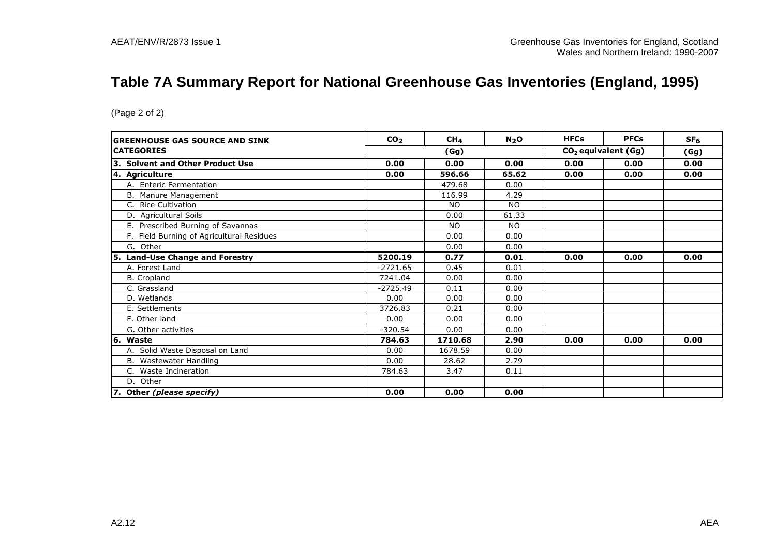## **Table 7A Summary Report for National Greenhouse Gas Inventories (England, 1995)**

| <b>GREENHOUSE GAS SOURCE AND SINK</b>      | CO <sub>2</sub> | CH <sub>4</sub> | $N_2$ O                         | <b>HFCs</b> | <b>PFCs</b> | SF <sub>6</sub> |
|--------------------------------------------|-----------------|-----------------|---------------------------------|-------------|-------------|-----------------|
| <b>ICATEGORIES</b>                         |                 | (Gg)            | CO <sub>2</sub> equivalent (Gg) |             |             | (Gg)            |
| 3. Solvent and Other Product Use           | 0.00            | 0.00            | 0.00                            | 0.00        | 0.00        | 0.00            |
| 4. Agriculture                             | 0.00            | 596.66          | 65.62                           | 0.00        | 0.00        | 0.00            |
| A. Enteric Fermentation                    |                 | 479.68          | 0.00                            |             |             |                 |
| B. Manure Management                       |                 | 116.99          | 4.29                            |             |             |                 |
| C. Rice Cultivation                        |                 | NO.             | <b>NO</b>                       |             |             |                 |
| D. Agricultural Soils                      |                 | 0.00            | 61.33                           |             |             |                 |
| E. Prescribed Burning of Savannas          |                 | <b>NO</b>       | <b>NO</b>                       |             |             |                 |
| F. Field Burning of Agricultural Residues  |                 | 0.00            | 0.00                            |             |             |                 |
| G. Other                                   |                 | 0.00            | 0.00                            |             |             |                 |
| <b>Land-Use Change and Forestry</b><br>15. | 5200.19         | 0.77            | 0.01                            | 0.00        | 0.00        | 0.00            |
| A. Forest Land                             | $-2721.65$      | 0.45            | 0.01                            |             |             |                 |
| B. Cropland                                | 7241.04         | 0.00            | 0.00                            |             |             |                 |
| C. Grassland                               | $-2725.49$      | 0.11            | 0.00                            |             |             |                 |
| D. Wetlands                                | 0.00            | 0.00            | 0.00                            |             |             |                 |
| E. Settlements                             | 3726.83         | 0.21            | 0.00                            |             |             |                 |
| F. Other land                              | 0.00            | 0.00            | 0.00                            |             |             |                 |
| G. Other activities                        | $-320.54$       | 0.00            | 0.00                            |             |             |                 |
| 6. Waste                                   | 784.63          | 1710.68         | 2.90                            | 0.00        | 0.00        | 0.00            |
| A. Solid Waste Disposal on Land            | 0.00            | 1678.59         | 0.00                            |             |             |                 |
| B. Wastewater Handling                     | 0.00            | 28.62           | 2.79                            |             |             |                 |
| C. Waste Incineration                      | 784.63          | 3.47            | 0.11                            |             |             |                 |
| D. Other                                   |                 |                 |                                 |             |             |                 |
| 7. Other (please specify)                  | 0.00            | 0.00            | 0.00                            |             |             |                 |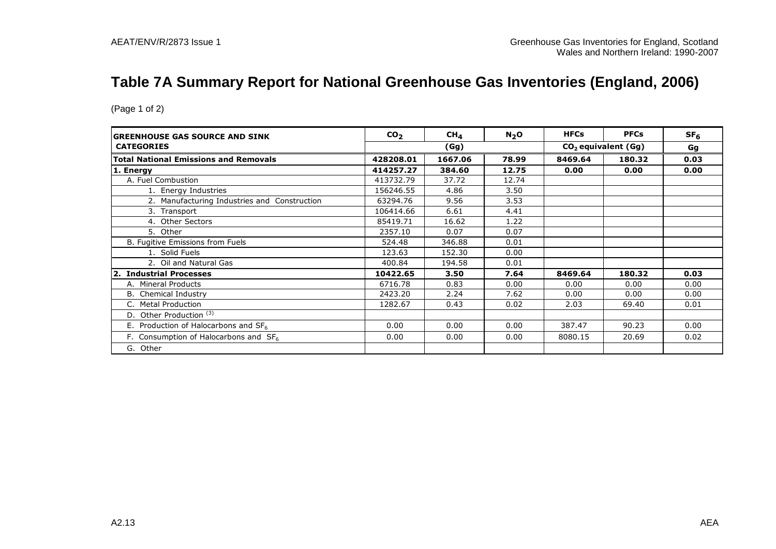## **Table 7A Summary Report for National Greenhouse Gas Inventories (England, 2006)**

| IGREENHOUSE GAS SOURCE AND SINK              | CO <sub>2</sub> | CH <sub>4</sub> | N <sub>2</sub> O | <b>HFCs</b> | <b>PFCs</b>           | SF <sub>6</sub> |  |
|----------------------------------------------|-----------------|-----------------|------------------|-------------|-----------------------|-----------------|--|
| <b>CATEGORIES</b>                            |                 | (Gg)            |                  |             | $CO2$ equivalent (Gg) |                 |  |
| <b>Total National Emissions and Removals</b> | 428208.01       | 1667.06         | 78.99            | 8469.64     | 180.32                | 0.03            |  |
| 1. Energy                                    | 414257.27       | 384.60          | 12.75            | 0.00        | 0.00                  | 0.00            |  |
| A. Fuel Combustion                           | 413732.79       | 37.72           | 12.74            |             |                       |                 |  |
| 1. Energy Industries                         | 156246.55       | 4.86            | 3.50             |             |                       |                 |  |
| 2. Manufacturing Industries and Construction | 63294.76        | 9.56            | 3.53             |             |                       |                 |  |
| 3. Transport                                 | 106414.66       | 6.61            | 4.41             |             |                       |                 |  |
| 4. Other Sectors                             | 85419.71        | 16.62           | 1.22             |             |                       |                 |  |
| 5. Other                                     | 2357.10         | 0.07            | 0.07             |             |                       |                 |  |
| B. Fugitive Emissions from Fuels             | 524.48          | 346.88          | 0.01             |             |                       |                 |  |
| 1. Solid Fuels                               | 123.63          | 152.30          | 0.00             |             |                       |                 |  |
| 2. Oil and Natural Gas                       | 400.84          | 194.58          | 0.01             |             |                       |                 |  |
| 2. Industrial Processes                      | 10422.65        | 3.50            | 7.64             | 8469.64     | 180.32                | 0.03            |  |
| A. Mineral Products                          | 6716.78         | 0.83            | 0.00             | 0.00        | 0.00                  | 0.00            |  |
| <b>B.</b> Chemical Industry                  | 2423.20         | 2.24            | 7.62             | 0.00        | 0.00                  | 0.00            |  |
| <b>Metal Production</b>                      | 1282.67         | 0.43            | 0.02             | 2.03        | 69.40                 | 0.01            |  |
| D. Other Production <sup>(3)</sup>           |                 |                 |                  |             |                       |                 |  |
| E. Production of Halocarbons and $SF6$       | 0.00            | 0.00            | 0.00             | 387.47      | 90.23                 | 0.00            |  |
| F. Consumption of Halocarbons and $SF6$      | 0.00            | 0.00            | 0.00             | 8080.15     | 20.69                 | 0.02            |  |
| G. Other                                     |                 |                 |                  |             |                       |                 |  |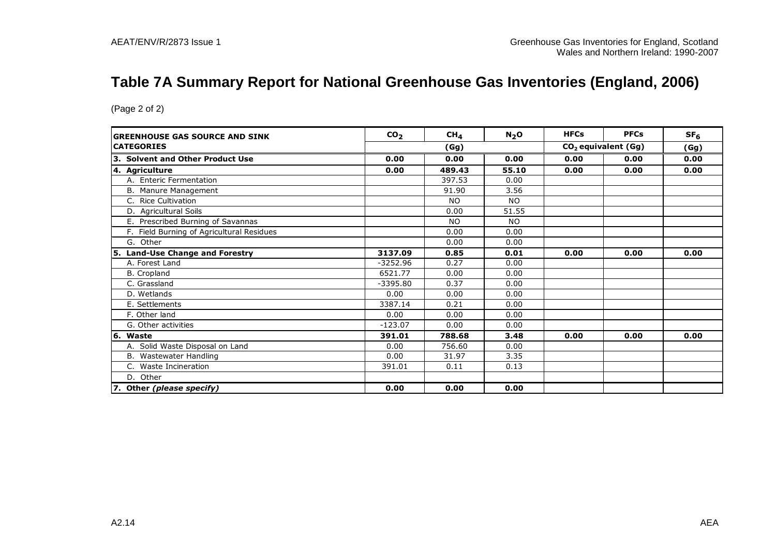## **Table 7A Summary Report for National Greenhouse Gas Inventories (England, 2006)**

| <b>GREENHOUSE GAS SOURCE AND SINK</b>     | CO <sub>2</sub> | CH <sub>4</sub> | N <sub>2</sub> O | <b>HFCs</b>                     | <b>PFCs</b> | SF <sub>6</sub> |
|-------------------------------------------|-----------------|-----------------|------------------|---------------------------------|-------------|-----------------|
| <b>CATEGORIES</b>                         |                 | (Gg)            |                  | CO <sub>2</sub> equivalent (Gg) |             | (Gg)            |
| 3. Solvent and Other Product Use          | 0.00            | 0.00            | 0.00             | 0.00                            | 0.00        | 0.00            |
| 4. Agriculture                            | 0.00            | 489.43          | 55.10            | 0.00                            | 0.00        | 0.00            |
| A. Enteric Fermentation                   |                 | 397.53          | 0.00             |                                 |             |                 |
| B. Manure Management                      |                 | 91.90           | 3.56             |                                 |             |                 |
| C. Rice Cultivation                       |                 | NO.             | <b>NO</b>        |                                 |             |                 |
| D. Agricultural Soils                     |                 | 0.00            | 51.55            |                                 |             |                 |
| E. Prescribed Burning of Savannas         |                 | <b>NO</b>       | N <sub>O</sub>   |                                 |             |                 |
| F. Field Burning of Agricultural Residues |                 | 0.00            | 0.00             |                                 |             |                 |
| G. Other                                  |                 | 0.00            | 0.00             |                                 |             |                 |
| 5. Land-Use Change and Forestry           | 3137.09         | 0.85            | 0.01             | 0.00                            | 0.00        | 0.00            |
| A. Forest Land                            | $-3252.96$      | 0.27            | 0.00             |                                 |             |                 |
| B. Cropland                               | 6521.77         | 0.00            | 0.00             |                                 |             |                 |
| C. Grassland                              | $-3395.80$      | 0.37            | 0.00             |                                 |             |                 |
| D. Wetlands                               | 0.00            | 0.00            | 0.00             |                                 |             |                 |
| E. Settlements                            | 3387.14         | 0.21            | 0.00             |                                 |             |                 |
| F. Other land                             | 0.00            | 0.00            | 0.00             |                                 |             |                 |
| G. Other activities                       | $-123.07$       | 0.00            | 0.00             |                                 |             |                 |
| 6. Waste                                  | 391.01          | 788.68          | 3.48             | 0.00                            | 0.00        | 0.00            |
| A. Solid Waste Disposal on Land           | 0.00            | 756.60          | 0.00             |                                 |             |                 |
| Wastewater Handling<br>В.                 | 0.00            | 31.97           | 3.35             |                                 |             |                 |
| C. Waste Incineration                     | 391.01          | 0.11            | 0.13             |                                 |             |                 |
| D. Other                                  |                 |                 |                  |                                 |             |                 |
| 7. Other (please specify)                 | 0.00            | 0.00            | 0.00             |                                 |             |                 |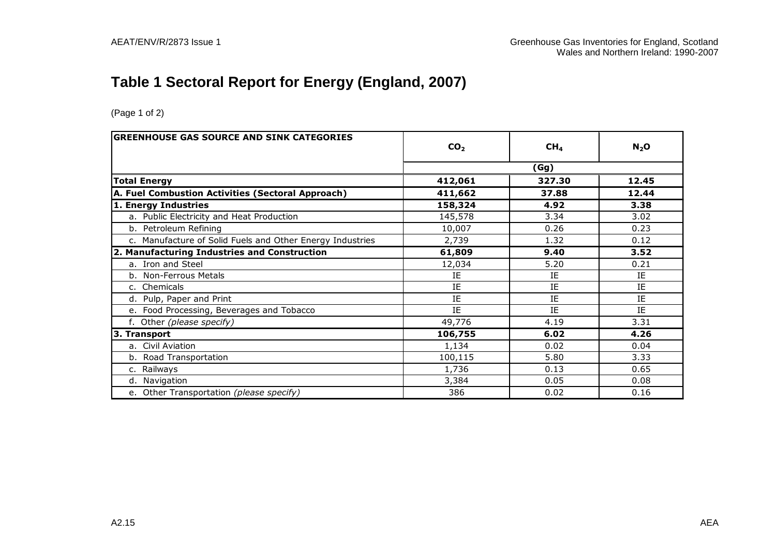## **Table 1 Sectoral Report for Energy (England, 2007)**

| <b>GREENHOUSE GAS SOURCE AND SINK CATEGORIES</b>          |                 |                 |           |  |
|-----------------------------------------------------------|-----------------|-----------------|-----------|--|
|                                                           | CO <sub>2</sub> | CH <sub>4</sub> | $N_2$ O   |  |
|                                                           | (Gg)            |                 |           |  |
| <b>Total Energy</b>                                       | 412,061         | 327.30          | 12.45     |  |
| A. Fuel Combustion Activities (Sectoral Approach)         | 411,662         | 37.88           | 12.44     |  |
| 1. Energy Industries                                      | 158,324         | 4.92            | 3.38      |  |
| a. Public Electricity and Heat Production                 | 145,578         | 3.34            | 3.02      |  |
| b. Petroleum Refining                                     | 10,007          | 0.26            | 0.23      |  |
| c. Manufacture of Solid Fuels and Other Energy Industries | 2,739           | 1.32            | 0.12      |  |
| 2. Manufacturing Industries and Construction              | 61,809          | 9.40            | 3.52      |  |
| a. Iron and Steel                                         | 12,034          | 5.20            | 0.21      |  |
| b. Non-Ferrous Metals                                     | ΙE              | IE              | IE        |  |
| c. Chemicals                                              | IE              | IE              | IE        |  |
| d. Pulp, Paper and Print                                  | IE              | IE              | <b>TF</b> |  |
| e. Food Processing, Beverages and Tobacco                 | IE              | IE              | IE        |  |
| f. Other (please specify)                                 | 49,776          | 4.19            | 3.31      |  |
| 3. Transport                                              | 106,755         | 6.02            | 4.26      |  |
| a. Civil Aviation                                         | 1,134           | 0.02            | 0.04      |  |
| b. Road Transportation                                    | 100,115         | 5.80            | 3.33      |  |
| c. Railways                                               | 1,736           | 0.13            | 0.65      |  |
| d. Navigation                                             | 3,384           | 0.05            | 0.08      |  |
| e. Other Transportation (please specify)                  | 386             | 0.02            | 0.16      |  |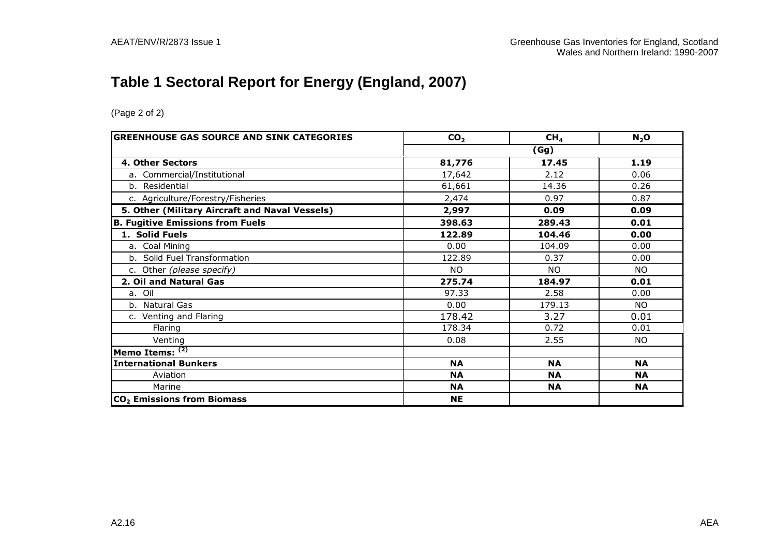## **Table 1 Sectoral Report for Energy (England, 2007)**

| <b>GREENHOUSE GAS SOURCE AND SINK CATEGORIES</b> | CO <sub>2</sub> | CH <sub>4</sub> | $N_2$ O   |  |  |
|--------------------------------------------------|-----------------|-----------------|-----------|--|--|
|                                                  | (Gg)            |                 |           |  |  |
| 4. Other Sectors                                 | 81,776          | 17.45           | 1.19      |  |  |
| a. Commercial/Institutional                      | 17,642          | 2.12            | 0.06      |  |  |
| b. Residential                                   | 61,661          | 14.36           | 0.26      |  |  |
| c. Agriculture/Forestry/Fisheries                | 2,474           | 0.97            | 0.87      |  |  |
| 5. Other (Military Aircraft and Naval Vessels)   | 2,997           | 0.09            | 0.09      |  |  |
| <b>B. Fugitive Emissions from Fuels</b>          | 398.63          | 289.43          | 0.01      |  |  |
| 1. Solid Fuels                                   | 122.89          | 104.46          | 0.00      |  |  |
| a. Coal Mining                                   | 0.00            | 104.09          | 0.00      |  |  |
| b. Solid Fuel Transformation                     | 122.89          | 0.37            | 0.00      |  |  |
| c. Other (please specify)                        | <b>NO</b>       | <b>NO</b>       | <b>NO</b> |  |  |
| 2. Oil and Natural Gas                           | 275.74          | 184.97          | 0.01      |  |  |
| a. Oil                                           | 97.33           | 2.58            | 0.00      |  |  |
| b. Natural Gas                                   | 0.00            | 179.13          | <b>NO</b> |  |  |
| c. Venting and Flaring                           | 178.42          | 3.27            | 0.01      |  |  |
| Flaring                                          | 178.34          | 0.72            | 0.01      |  |  |
| Venting                                          | 0.08            | 2.55            | NO.       |  |  |
| Memo Items: (2)                                  |                 |                 |           |  |  |
| <b>International Bunkers</b>                     | <b>NA</b>       | <b>NA</b>       | <b>NA</b> |  |  |
| Aviation                                         | <b>NA</b>       | <b>NA</b>       | <b>NA</b> |  |  |
| Marine                                           | <b>NA</b>       | <b>NA</b>       | <b>NA</b> |  |  |
| CO <sub>2</sub> Emissions from Biomass           | <b>NE</b>       |                 |           |  |  |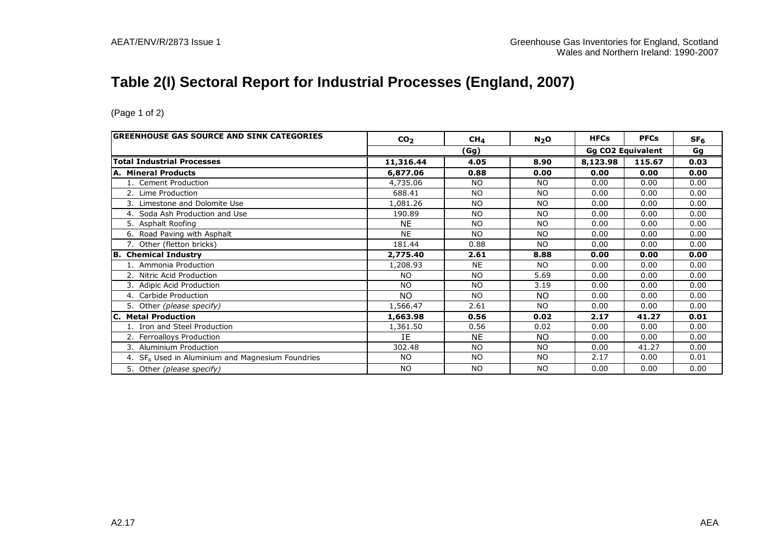## **Table 2(I) Sectoral Report for Industrial Processes (England, 2007)**

| <b>GREENHOUSE GAS SOURCE AND SINK CATEGORIES</b>   | CO <sub>2</sub>                  | CH <sub>4</sub> | N <sub>2</sub> O | <b>HFCs</b> | <b>PFCs</b> | SF <sub>6</sub> |
|----------------------------------------------------|----------------------------------|-----------------|------------------|-------------|-------------|-----------------|
|                                                    | <b>Gg CO2 Equivalent</b><br>(Gg) |                 |                  | Gg          |             |                 |
| <b>Total Industrial Processes</b>                  | 11,316.44                        | 4.05            | 8.90             | 8,123.98    | 115.67      | 0.03            |
| A. Mineral Products                                | 6,877.06                         | 0.88            | 0.00             | 0.00        | 0.00        | 0.00            |
| 1. Cement Production                               | 4,735.06                         | <b>NO</b>       | <b>NO</b>        | 0.00        | 0.00        | 0.00            |
| 2. Lime Production                                 | 688.41                           | NO.             | <b>NO</b>        | 0.00        | 0.00        | 0.00            |
| 3. Limestone and Dolomite Use                      | 1,081.26                         | <b>NO</b>       | <b>NO</b>        | 0.00        | 0.00        | 0.00            |
| 4. Soda Ash Production and Use                     | 190.89                           | <b>NO</b>       | <b>NO</b>        | 0.00        | 0.00        | 0.00            |
| 5. Asphalt Roofing                                 | <b>NE</b>                        | <b>NO</b>       | <b>NO</b>        | 0.00        | 0.00        | 0.00            |
| 6. Road Paving with Asphalt                        | <b>NE</b>                        | <b>NO</b>       | <b>NO</b>        | 0.00        | 0.00        | 0.00            |
| 7. Other (fletton bricks)                          | 181.44                           | 0.88            | <b>NO</b>        | 0.00        | 0.00        | 0.00            |
| B. Chemical Industry                               | 2,775.40                         | 2.61            | 8.88             | 0.00        | 0.00        | 0.00            |
| 1. Ammonia Production                              | 1,208.93                         | <b>NE</b>       | <b>NO</b>        | 0.00        | 0.00        | 0.00            |
| 2. Nitric Acid Production                          | <b>NO</b>                        | NO.             | 5.69             | 0.00        | 0.00        | 0.00            |
| 3. Adipic Acid Production                          | <b>NO</b>                        | <b>NO</b>       | 3.19             | 0.00        | 0.00        | 0.00            |
| 4. Carbide Production                              | NO.                              | NO.             | NO.              | 0.00        | 0.00        | 0.00            |
| 5. Other (please specify)                          | 1,566.47                         | 2.61            | N <sub>O</sub>   | 0.00        | 0.00        | 0.00            |
| <b>C. Metal Production</b>                         | 1,663.98                         | 0.56            | 0.02             | 2.17        | 41.27       | 0.01            |
| 1. Iron and Steel Production                       | 1,361.50                         | 0.56            | 0.02             | 0.00        | 0.00        | 0.00            |
| 2. Ferroalloys Production                          | IE                               | <b>NE</b>       | <b>NO</b>        | 0.00        | 0.00        | 0.00            |
| 3. Aluminium Production                            | 302.48                           | <b>NO</b>       | <b>NO</b>        | 0.00        | 41.27       | 0.00            |
| 4. $SF6$ Used in Aluminium and Magnesium Foundries | <b>NO</b>                        | <b>NO</b>       | NO.              | 2.17        | 0.00        | 0.01            |
| 5. Other (please specify)                          | <b>NO</b>                        | <b>NO</b>       | NO.              | 0.00        | 0.00        | 0.00            |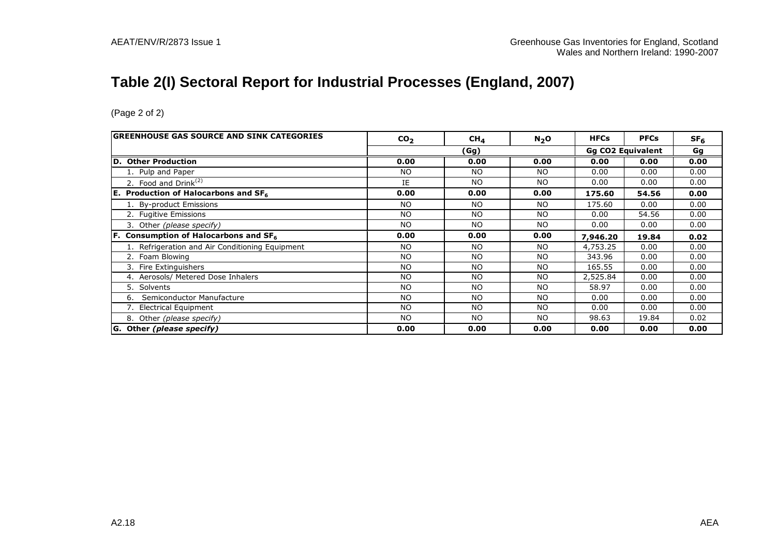## **Table 2(I) Sectoral Report for Industrial Processes (England, 2007)**

| <b>GREENHOUSE GAS SOURCE AND SINK CATEGORIES</b> | CO <sub>2</sub> | CH <sub>4</sub> | N <sub>2</sub> O | <b>HFCs</b>              | <b>PFCs</b> | SF <sub>6</sub> |    |
|--------------------------------------------------|-----------------|-----------------|------------------|--------------------------|-------------|-----------------|----|
|                                                  | (Gg)            |                 |                  | <b>Gg CO2 Equivalent</b> |             |                 | Gg |
| D. Other Production                              | 0.00            | 0.00            | 0.00             | 0.00                     | 0.00        | 0.00            |    |
| 1. Pulp and Paper                                | <b>NO</b>       | NO              | NO.              | 0.00                     | 0.00        | 0.00            |    |
| 2. Food and $Drink(2)$                           | IE              | NO.             | NO.              | 0.00                     | 0.00        | 0.00            |    |
| <b>E.</b> Production of Halocarbons and $SF_6$   | 0.00            | 0.00            | 0.00             | 175.60                   | 54.56       | 0.00            |    |
| 1. By-product Emissions                          | <b>NO</b>       | NO.             | NO.              | 175.60                   | 0.00        | 0.00            |    |
| 2. Fugitive Emissions                            | <b>NO</b>       | <b>NO</b>       | <b>NO</b>        | 0.00                     | 54.56       | 0.00            |    |
| 3. Other (please specify)                        | <b>NO</b>       | NO.             | NO.              | 0.00                     | 0.00        | 0.00            |    |
| <b>F.</b> Consumption of Halocarbons and $SF6$   | 0.00            | 0.00            | 0.00             | 7,946.20                 | 19.84       | 0.02            |    |
| 1. Refrigeration and Air Conditioning Equipment  | <b>NO</b>       | <b>NO</b>       | NO.              | 4,753.25                 | 0.00        | 0.00            |    |
| 2. Foam Blowing                                  | <b>NO</b>       | <b>NO</b>       | NO.              | 343.96                   | 0.00        | 0.00            |    |
| Fire Extinguishers                               | <b>NO</b>       | <b>NO</b>       | <b>NO</b>        | 165.55                   | 0.00        | 0.00            |    |
| 4. Aerosols/ Metered Dose Inhalers               | <b>NO</b>       | <b>NO</b>       | <b>NO</b>        | 2,525.84                 | 0.00        | 0.00            |    |
| 5. Solvents                                      | <b>NO</b>       | <b>NO</b>       | <b>NO</b>        | 58.97                    | 0.00        | 0.00            |    |
| Semiconductor Manufacture<br>6.                  | <b>NO</b>       | N <sub>O</sub>  | NO.              | 0.00                     | 0.00        | 0.00            |    |
| 7. Electrical Equipment                          | <b>NO</b>       | N <sub>O</sub>  | <b>NO</b>        | 0.00                     | 0.00        | 0.00            |    |
| 8. Other (please specify)                        | <b>NO</b>       | <b>NO</b>       | NO.              | 98.63                    | 19.84       | 0.02            |    |
| G. Other (please specify)                        | 0.00            | 0.00            | 0.00             | 0.00                     | 0.00        | 0.00            |    |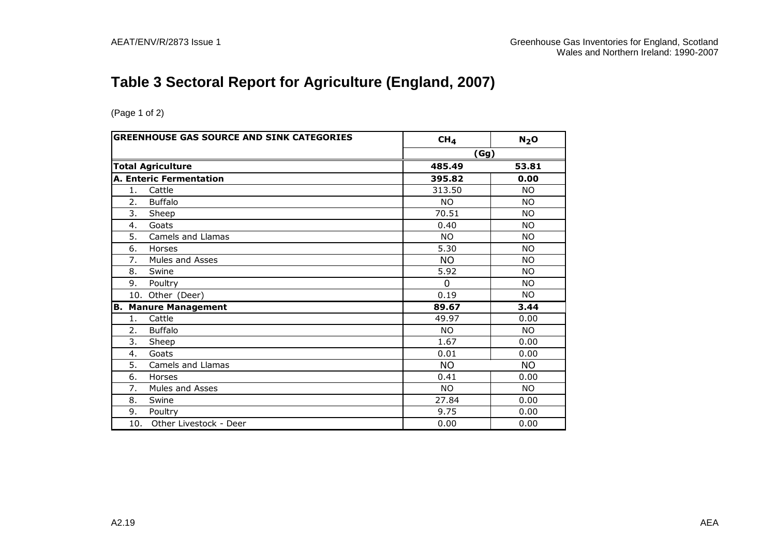## **Table 3 Sectoral Report for Agriculture (England, 2007)**

|                | <b>GREENHOUSE GAS SOURCE AND SINK CATEGORIES</b> | CH <sub>4</sub> | N <sub>2</sub> O |
|----------------|--------------------------------------------------|-----------------|------------------|
|                |                                                  | (Gg)            |                  |
|                | <b>Total Agriculture</b>                         | 485.49          | 53.81            |
|                | <b>A. Enteric Fermentation</b>                   | 395.82          | 0.00             |
| 1.             | Cattle                                           | 313.50          | <b>NO</b>        |
| 2.             | <b>Buffalo</b>                                   | <b>NO</b>       | <b>NO</b>        |
| 3.             | Sheep                                            | 70.51           | <b>NO</b>        |
| 4.             | Goats                                            | 0.40            | <b>NO</b>        |
| 5.             | Camels and Llamas                                | <b>NO</b>       | <b>NO</b>        |
| 6.             | Horses                                           | 5.30            | <b>NO</b>        |
| 7.             | Mules and Asses                                  | <b>NO</b>       | <b>NO</b>        |
| 8.             | Swine                                            | 5.92            | <b>NO</b>        |
| 9.             | Poultry                                          | $\Omega$        | <b>NO</b>        |
|                | 10. Other (Deer)                                 | 0.19            | <b>NO</b>        |
| В.             | <b>Manure Management</b>                         | 89.67           | 3.44             |
| $\mathbf{1}$ . | Cattle                                           | 49.97           | 0.00             |
| 2.             | <b>Buffalo</b>                                   | NO.             | <b>NO</b>        |
| 3.             | Sheep                                            | 1.67            | 0.00             |
| 4.             | Goats                                            | 0.01            | 0.00             |
| 5.             | Camels and Llamas                                | NO.             | NO.              |
| 6.             | Horses                                           | 0.41            | 0.00             |
| 7.             | Mules and Asses                                  | NO.             | <b>NO</b>        |
| 8.             | Swine                                            | 27.84           | 0.00             |
| 9.             | Poultry                                          | 9.75            | 0.00             |
| 10.            | Other Livestock - Deer                           | 0.00            | 0.00             |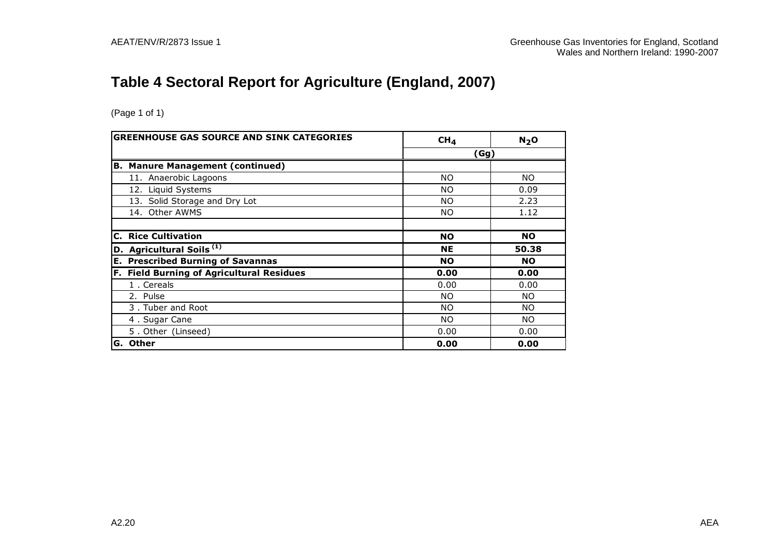## **Table 4 Sectoral Report for Agriculture (England, 2007)**

|     | <b>GREENHOUSE GAS SOURCE AND SINK CATEGORIES</b> | CH <sub>4</sub> | N <sub>2</sub> O |
|-----|--------------------------------------------------|-----------------|------------------|
|     |                                                  | (Gg)            |                  |
|     | <b>B. Manure Management (continued)</b>          |                 |                  |
|     | 11. Anaerobic Lagoons                            | <b>NO</b>       | NO.              |
|     | 12. Liquid Systems                               | <b>NO</b>       | 0.09             |
|     | 13. Solid Storage and Dry Lot                    | NO.             | 2.23             |
|     | 14. Other AWMS                                   | NO.             | 1.12             |
|     |                                                  |                 |                  |
| C.  | <b>Rice Cultivation</b>                          | <b>NO</b>       | <b>NO</b>        |
|     | $\vert$ D. Agricultural Soils $^{(1)}$           | <b>NE</b>       | 50.38            |
|     | <b>E. Prescribed Burning of Savannas</b>         | <b>NO</b>       | <b>NO</b>        |
|     | F. Field Burning of Agricultural Residues        | 0.00            | 0.00             |
|     | 1. Cereals                                       | 0.00            | 0.00             |
|     | 2. Pulse                                         | NO.             | NO.              |
|     | 3. Tuber and Root                                | NO.             | NO.              |
|     | 4. Sugar Cane                                    | NO.             | NO.              |
|     | 5. Other (Linseed)                               | 0.00            | 0.00             |
| IG. | <b>Other</b>                                     | 0.00            | 0.00             |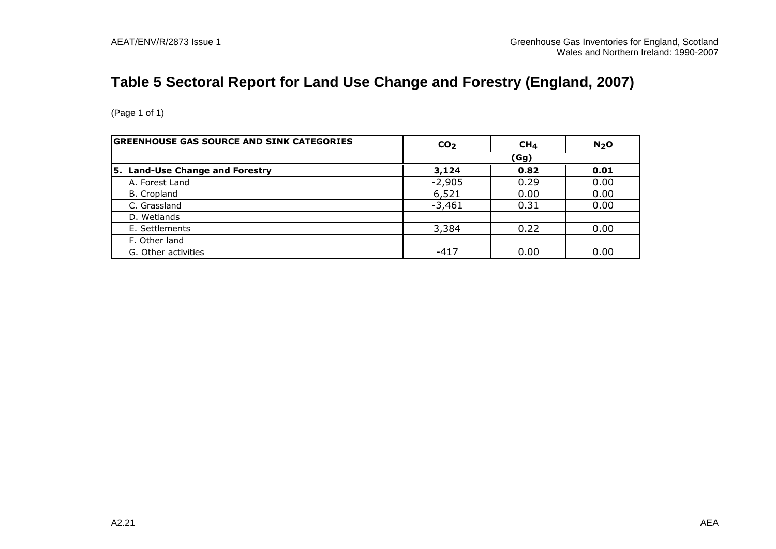## **Table 5 Sectoral Report for Land Use Change and Forestry (England, 2007)**

| <b>GREENHOUSE GAS SOURCE AND SINK CATEGORIES</b> | CO <sub>2</sub> | CH <sub>4</sub> | N <sub>2</sub> O |  |  |
|--------------------------------------------------|-----------------|-----------------|------------------|--|--|
|                                                  |                 | (Gg)            |                  |  |  |
| 5. Land-Use Change and Forestry                  | 3,124           | 0.82            | 0.01             |  |  |
| A. Forest Land                                   | $-2,905$        | 0.29            | 0.00             |  |  |
| B. Cropland                                      | 6,521           | 0.00            | 0.00             |  |  |
| C. Grassland                                     | $-3,461$        | 0.31            | 0.00             |  |  |
| D. Wetlands                                      |                 |                 |                  |  |  |
| E. Settlements                                   | 3,384           | 0.22            | 0.00             |  |  |
| F. Other land                                    |                 |                 |                  |  |  |
| G. Other activities                              | $-417$          | 0.00            | 0.00             |  |  |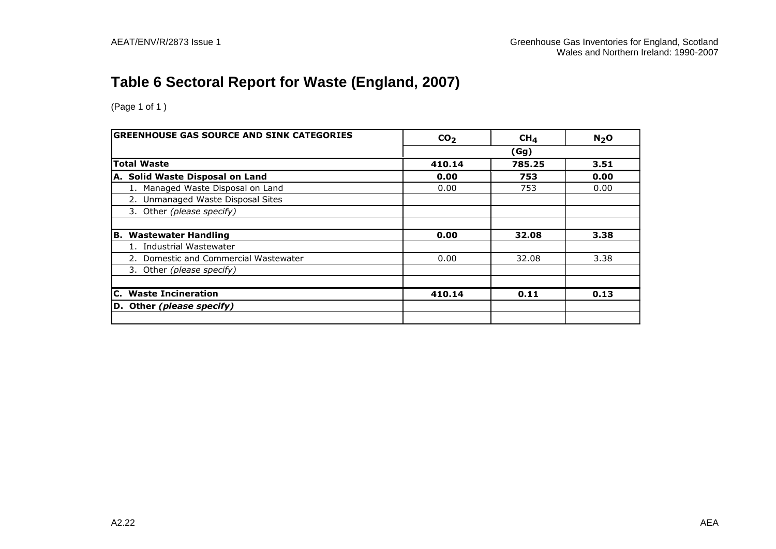## **Table 6 Sectoral Report for Waste (England, 2007)**

(Page 1 of 1 )

| <b>GREENHOUSE GAS SOURCE AND SINK CATEGORIES</b> | CO <sub>2</sub> | CH <sub>4</sub> | $N2$ O |  |
|--------------------------------------------------|-----------------|-----------------|--------|--|
|                                                  | (Gg)            |                 |        |  |
| <b>Total Waste</b>                               | 410.14          | 785.25          | 3.51   |  |
| A. Solid Waste Disposal on Land                  | 0.00            | 753             | 0.00   |  |
| 1. Managed Waste Disposal on Land                | 0.00            | 753             | 0.00   |  |
| 2. Unmanaged Waste Disposal Sites                |                 |                 |        |  |
| 3. Other (please specify)                        |                 |                 |        |  |
|                                                  |                 |                 |        |  |
| <b>B. Wastewater Handling</b>                    | 0.00            | 32.08           | 3.38   |  |
| <b>Industrial Wastewater</b>                     |                 |                 |        |  |
| 2. Domestic and Commercial Wastewater            | 0.00            | 32.08           | 3.38   |  |
| 3. Other (please specify)                        |                 |                 |        |  |
|                                                  |                 |                 |        |  |
| <b>C.</b> Waste Incineration                     | 410.14          | 0.11            | 0.13   |  |
| D. Other (please specify)                        |                 |                 |        |  |
|                                                  |                 |                 |        |  |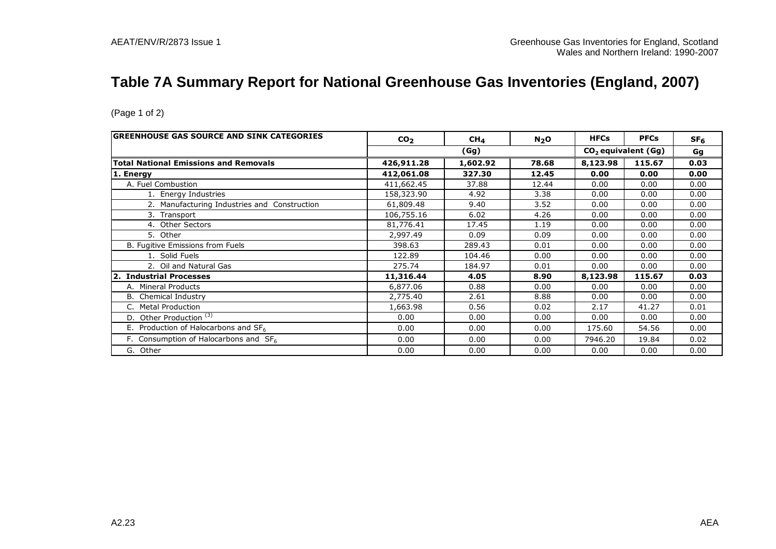## **Table 7A Summary Report for National Greenhouse Gas Inventories (England, 2007)**

| <b>GREENHOUSE GAS SOURCE AND SINK CATEGORIES</b> | CO <sub>2</sub> | CH <sub>4</sub> | $N_2$ O | <b>HFCs</b> | <b>PFCs</b>           | SF <sub>6</sub> |
|--------------------------------------------------|-----------------|-----------------|---------|-------------|-----------------------|-----------------|
|                                                  |                 | (Gg)            |         |             | $CO2$ equivalent (Gg) | Gg              |
| <b>Total National Emissions and Removals</b>     | 426,911.28      | 1,602.92        | 78.68   | 8,123.98    | 115.67                | 0.03            |
| 1. Energy                                        | 412,061.08      | 327.30          | 12.45   | 0.00        | 0.00                  | 0.00            |
| A. Fuel Combustion                               | 411,662.45      | 37.88           | 12.44   | 0.00        | 0.00                  | 0.00            |
| 1. Energy Industries                             | 158,323.90      | 4.92            | 3.38    | 0.00        | 0.00                  | 0.00            |
| 2. Manufacturing Industries and Construction     | 61,809.48       | 9.40            | 3.52    | 0.00        | 0.00                  | 0.00            |
| 3. Transport                                     | 106,755.16      | 6.02            | 4.26    | 0.00        | 0.00                  | 0.00            |
| 4. Other Sectors                                 | 81,776.41       | 17.45           | 1.19    | 0.00        | 0.00                  | 0.00            |
| 5. Other                                         | 2,997.49        | 0.09            | 0.09    | 0.00        | 0.00                  | 0.00            |
| B. Fugitive Emissions from Fuels                 | 398.63          | 289.43          | 0.01    | 0.00        | 0.00                  | 0.00            |
| 1. Solid Fuels                                   | 122.89          | 104.46          | 0.00    | 0.00        | 0.00                  | 0.00            |
| 2. Oil and Natural Gas                           | 275.74          | 184.97          | 0.01    | 0.00        | 0.00                  | 0.00            |
| 2. Industrial Processes                          | 11,316.44       | 4.05            | 8.90    | 8,123.98    | 115.67                | 0.03            |
| A. Mineral Products                              | 6,877.06        | 0.88            | 0.00    | 0.00        | 0.00                  | 0.00            |
| <b>B.</b> Chemical Industry                      | 2,775.40        | 2.61            | 8.88    | 0.00        | 0.00                  | 0.00            |
| <b>Metal Production</b>                          | 1,663.98        | 0.56            | 0.02    | 2.17        | 41.27                 | 0.01            |
| D. Other Production <sup>(3)</sup>               | 0.00            | 0.00            | 0.00    | 0.00        | 0.00                  | 0.00            |
| E. Production of Halocarbons and SF <sub>6</sub> | 0.00            | 0.00            | 0.00    | 175.60      | 54.56                 | 0.00            |
| F. Consumption of Halocarbons and $SF6$          | 0.00            | 0.00            | 0.00    | 7946.20     | 19.84                 | 0.02            |
| G. Other                                         | 0.00            | 0.00            | 0.00    | 0.00        | 0.00                  | 0.00            |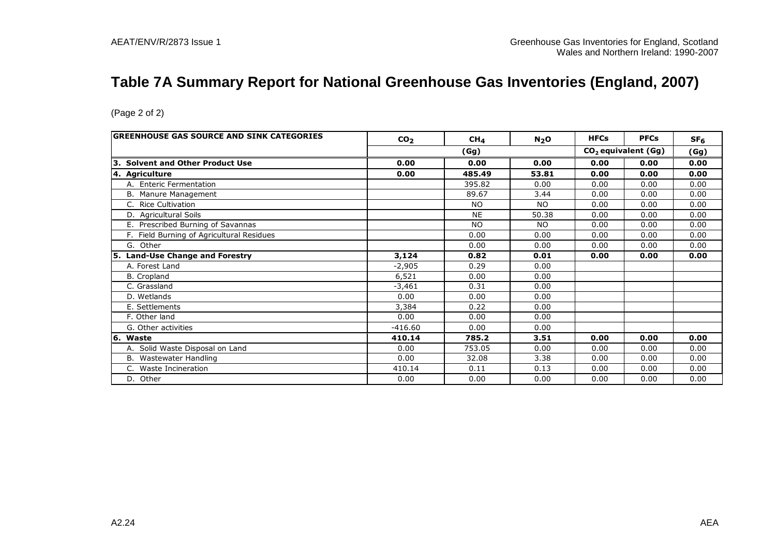## **Table 7A Summary Report for National Greenhouse Gas Inventories (England, 2007)**

| GREENHOUSE GAS SOURCE AND SINK CATEGORIES | CO <sub>2</sub> | CH <sub>4</sub> | N <sub>2</sub> O | <b>HFCs</b> | <b>PFCs</b>                     | SF <sub>6</sub> |
|-------------------------------------------|-----------------|-----------------|------------------|-------------|---------------------------------|-----------------|
|                                           |                 | (Gg)            |                  |             | CO <sub>2</sub> equivalent (Gg) | (Gg)            |
| 3. Solvent and Other Product Use          | 0.00            | 0.00            | 0.00             | 0.00        | 0.00                            | 0.00            |
| 4. Agriculture                            | 0.00            | 485.49          | 53.81            | 0.00        | 0.00                            | 0.00            |
| A. Enteric Fermentation                   |                 | 395.82          | 0.00             | 0.00        | 0.00                            | 0.00            |
| B. Manure Management                      |                 | 89.67           | 3.44             | 0.00        | 0.00                            | 0.00            |
| C. Rice Cultivation                       |                 | <b>NO</b>       | <b>NO</b>        | 0.00        | 0.00                            | 0.00            |
| D. Agricultural Soils                     |                 | <b>NE</b>       | 50.38            | 0.00        | 0.00                            | 0.00            |
| E. Prescribed Burning of Savannas         |                 | <b>NO</b>       | <b>NO</b>        | 0.00        | 0.00                            | 0.00            |
| F. Field Burning of Agricultural Residues |                 | 0.00            | 0.00             | 0.00        | 0.00                            | 0.00            |
| G. Other                                  |                 | 0.00            | 0.00             | 0.00        | 0.00                            | 0.00            |
| 5. Land-Use Change and Forestry           | 3,124           | 0.82            | 0.01             | 0.00        | 0.00                            | 0.00            |
| A. Forest Land                            | $-2,905$        | 0.29            | 0.00             |             |                                 |                 |
| B. Cropland                               | 6,521           | 0.00            | 0.00             |             |                                 |                 |
| C. Grassland                              | $-3,461$        | 0.31            | 0.00             |             |                                 |                 |
| D. Wetlands                               | 0.00            | 0.00            | 0.00             |             |                                 |                 |
| E. Settlements                            | 3,384           | 0.22            | 0.00             |             |                                 |                 |
| F. Other land                             | 0.00            | 0.00            | 0.00             |             |                                 |                 |
| G. Other activities                       | $-416.60$       | 0.00            | 0.00             |             |                                 |                 |
| 6. Waste                                  | 410.14          | 785.2           | 3.51             | 0.00        | 0.00                            | 0.00            |
| A. Solid Waste Disposal on Land           | 0.00            | 753.05          | 0.00             | 0.00        | 0.00                            | 0.00            |
| B. Wastewater Handling                    | 0.00            | 32.08           | 3.38             | 0.00        | 0.00                            | 0.00            |
| C. Waste Incineration                     | 410.14          | 0.11            | 0.13             | 0.00        | 0.00                            | 0.00            |
| D. Other                                  | 0.00            | 0.00            | 0.00             | 0.00        | 0.00                            | 0.00            |